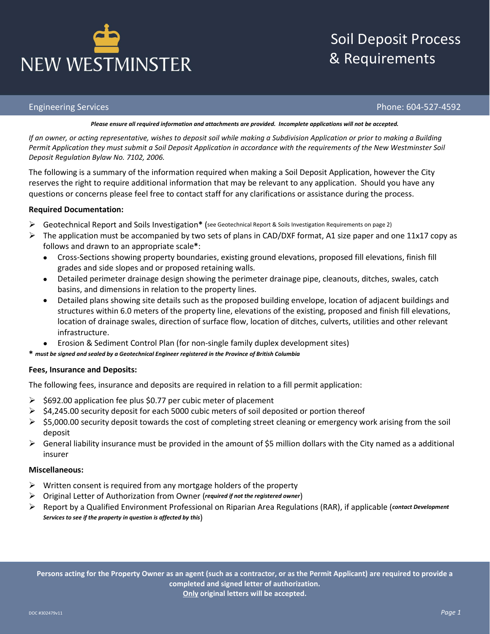## Soil Deposit Process & Requirements

### Engineering Services Phone: 604-527-4592

### *Please ensure all required information and attachments are provided. Incomplete applications will not be accepted.*

*If an owner, or acting representative, wishes to deposit soil while making a Subdivision Application or prior to making a Building Permit Application they must submit a Soil Deposit Application in accordance with the requirements of the New Westminster Soil Deposit Regulation Bylaw No. 7102, 2006.*

The following is a summary of the information required when making a Soil Deposit Application, however the City reserves the right to require additional information that may be relevant to any application. Should you have any questions or concerns please feel free to contact staff for any clarifications or assistance during the process.

## **Required Documentation:**

- Geotechnical Report and Soils Investigation**\*** (see Geotechnical Report & Soils Investigation Requirements on page 2)
- $\triangleright$  The application must be accompanied by two sets of plans in CAD/DXF format, A1 size paper and one 11x17 copy as follows and drawn to an appropriate scale**\***:
	- Cross-Sections showing property boundaries, existing ground elevations, proposed fill elevations, finish fill grades and side slopes and or proposed retaining walls.
	- Detailed perimeter drainage design showing the perimeter drainage pipe, cleanouts, ditches, swales, catch basins, and dimensions in relation to the property lines.
	- Detailed plans showing site details such as the proposed building envelope, location of adjacent buildings and structures within 6.0 meters of the property line, elevations of the existing, proposed and finish fill elevations, location of drainage swales, direction of surface flow, location of ditches, culverts, utilities and other relevant infrastructure.
	- Erosion & Sediment Control Plan (for non-single family duplex development sites)
- **\*** *must be signed and sealed by a Geotechnical Engineer registered in the Province of British Columbia*

## **Fees, Insurance and Deposits:**

The following fees, insurance and deposits are required in relation to a fill permit application:

- $\geq$  \$692.00 application fee plus \$0.77 per cubic meter of placement
- $\triangleright$  \$4,245.00 security deposit for each 5000 cubic meters of soil deposited or portion thereof
- $\triangleright$  \$5,000.00 security deposit towards the cost of completing street cleaning or emergency work arising from the soil deposit
- $\triangleright$  General liability insurance must be provided in the amount of \$5 million dollars with the City named as a additional insurer

## **Miscellaneous:**

- $\triangleright$  Written consent is required from any mortgage holders of the property
- Original Letter of Authorization from Owner (*required if not the registered owner*)
- Report by a Qualified Environment Professional on Riparian Area Regulations (RAR), if applicable (*contact Development Services to see if the property in question is affected by this*)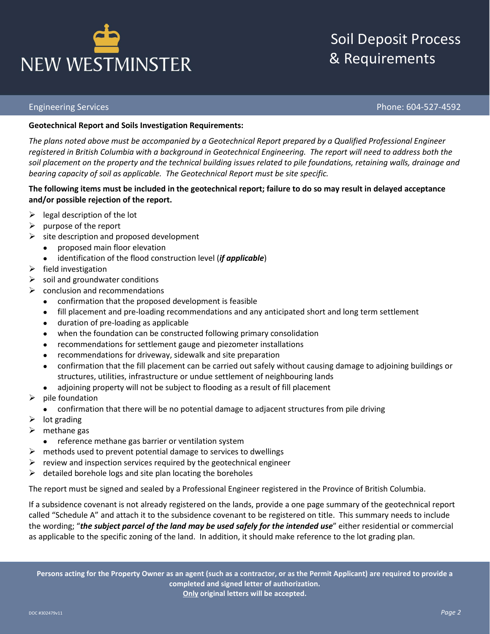## Soil Deposit Process & Requirements

## Engineering Services Phone: 604-527-4592

## **Geotechnical Report and Soils Investigation Requirements:**

*The plans noted above must be accompanied by a Geotechnical Report prepared by a Qualified Professional Engineer registered in British Columbia with a background in Geotechnical Engineering. The report will need to address both the soil placement on the property and the technical building issues related to pile foundations, retaining walls, drainage and bearing capacity of soil as applicable. The Geotechnical Report must be site specific.*

## **The following items must be included in the geotechnical report; failure to do so may result in delayed acceptance and/or possible rejection of the report.**

- $\triangleright$  legal description of the lot
- $\triangleright$  purpose of the report
- $\triangleright$  site description and proposed development
	- proposed main floor elevation
	- identification of the flood construction level (*if applicable*)
- $\triangleright$  field investigation
- $\triangleright$  soil and groundwater conditions
- $\triangleright$  conclusion and recommendations
	- confirmation that the proposed development is feasible
	- fill placement and pre-loading recommendations and any anticipated short and long term settlement
	- duration of pre-loading as applicable
	- when the foundation can be constructed following primary consolidation
	- recommendations for settlement gauge and piezometer installations
	- recommendations for driveway, sidewalk and site preparation
	- confirmation that the fill placement can be carried out safely without causing damage to adjoining buildings or structures, utilities, infrastructure or undue settlement of neighbouring lands
	- adjoining property will not be subject to flooding as a result of fill placement
- $\triangleright$  pile foundation
	- confirmation that there will be no potential damage to adjacent structures from pile driving
- $\triangleright$  lot grading
- $\triangleright$  methane gas
	- reference methane gas barrier or ventilation system
- $\triangleright$  methods used to prevent potential damage to services to dwellings
- $\triangleright$  review and inspection services required by the geotechnical engineer
- $\triangleright$  detailed borehole logs and site plan locating the boreholes

The report must be signed and sealed by a Professional Engineer registered in the Province of British Columbia.

If a subsidence covenant is not already registered on the lands, provide a one page summary of the geotechnical report called "Schedule A" and attach it to the subsidence covenant to be registered on title. This summary needs to include the wording; "*the subject parcel of the land may be used safely for the intended use*" either residential or commercial as applicable to the specific zoning of the land. In addition, it should make reference to the lot grading plan.

**Persons acting for the Property Owner as an agent (such as a contractor, or as the Permit Applicant) are required to provide a completed and signed letter of authorization. Only original letters will be accepted.**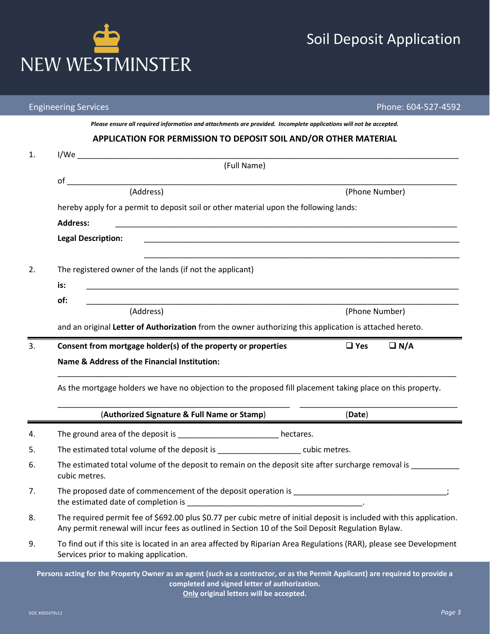|    | <b>Engineering Services</b>                                                                                                                                                                                                 | Phone: 604-527-4592      |  |  |  |
|----|-----------------------------------------------------------------------------------------------------------------------------------------------------------------------------------------------------------------------------|--------------------------|--|--|--|
|    | Please ensure all required information and attachments are provided. Incomplete applications will not be accepted.                                                                                                          |                          |  |  |  |
|    | APPLICATION FOR PERMISSION TO DEPOSIT SOIL AND/OR OTHER MATERIAL                                                                                                                                                            |                          |  |  |  |
| 1. | 1/We                                                                                                                                                                                                                        |                          |  |  |  |
|    | (Full Name)                                                                                                                                                                                                                 |                          |  |  |  |
|    | of<br>(Address)                                                                                                                                                                                                             | (Phone Number)           |  |  |  |
|    | hereby apply for a permit to deposit soil or other material upon the following lands:                                                                                                                                       |                          |  |  |  |
|    | <b>Address:</b>                                                                                                                                                                                                             |                          |  |  |  |
|    | <b>Legal Description:</b>                                                                                                                                                                                                   |                          |  |  |  |
|    |                                                                                                                                                                                                                             |                          |  |  |  |
| 2. | The registered owner of the lands (if not the applicant)                                                                                                                                                                    |                          |  |  |  |
|    | is:                                                                                                                                                                                                                         |                          |  |  |  |
|    | of:                                                                                                                                                                                                                         |                          |  |  |  |
|    | (Address)                                                                                                                                                                                                                   | (Phone Number)           |  |  |  |
|    | and an original Letter of Authorization from the owner authorizing this application is attached hereto.                                                                                                                     |                          |  |  |  |
| 3. | Consent from mortgage holder(s) of the property or properties                                                                                                                                                               | $\Box$ Yes<br>$\Box N/A$ |  |  |  |
|    | Name & Address of the Financial Institution:                                                                                                                                                                                |                          |  |  |  |
|    | As the mortgage holders we have no objection to the proposed fill placement taking place on this property.                                                                                                                  |                          |  |  |  |
|    | (Authorized Signature & Full Name or Stamp)                                                                                                                                                                                 | (Date)                   |  |  |  |
| 4. | The ground area of the deposit is _______________________ hectares.                                                                                                                                                         |                          |  |  |  |
| 5. | The estimated total volume of the deposit is entitled and cubic metres.                                                                                                                                                     |                          |  |  |  |
| 6. | The estimated total volume of the deposit to remain on the deposit site after surcharge removal is<br>cubic metres.                                                                                                         |                          |  |  |  |
| 7. | The proposed date of commencement of the deposit operation is __________________________________;                                                                                                                           |                          |  |  |  |
| 8. | The required permit fee of \$692.00 plus \$0.77 per cubic metre of initial deposit is included with this application.<br>Any permit renewal will incur fees as outlined in Section 10 of the Soil Deposit Regulation Bylaw. |                          |  |  |  |
| 9. | To find out if this site is located in an area affected by Riparian Area Regulations (RAR), please see Development<br>Services prior to making application.                                                                 |                          |  |  |  |
|    | Persons acting for the Property Owner as an agent (such as a contractor, or as the Permit Applicant) are required to provide a<br>completed and signed letter of authorization.                                             |                          |  |  |  |

**Only original letters will be accepted.**